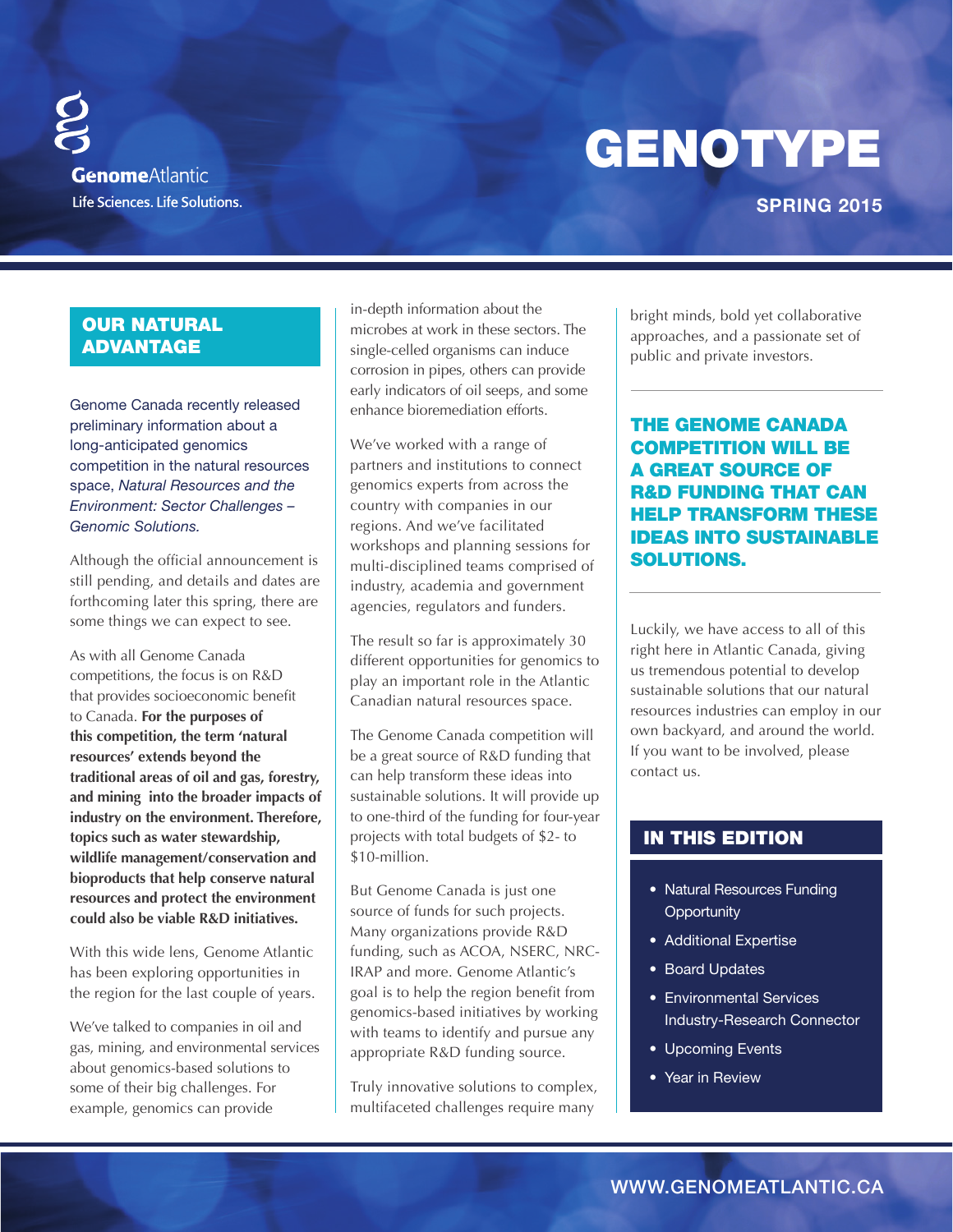GENOTYPE

# **Genome**Atlantic Life Sciences. Life Solutions.

## **SPRING 2015**

## OUR NATURAL ADVANTAGE

Genome Canada recently released preliminary information about a long-anticipated genomics competition in the natural resources space, *Natural Resources and the Environment: Sector Challenges – Genomic Solutions.* 

Although the official announcement is still pending, and details and dates are forthcoming later this spring, there are some things we can expect to see.

As with all Genome Canada competitions, the focus is on R&D that provides socioeconomic benefit to Canada. **For the purposes of this competition, the term 'natural resources' extends beyond the traditional areas of oil and gas, forestry, and mining into the broader impacts of industry on the environment. Therefore, topics such as water stewardship, wildlife management/conservation and bioproducts that help conserve natural resources and protect the environment could also be viable R&D initiatives.**

With this wide lens, Genome Atlantic has been exploring opportunities in the region for the last couple of years.

We've talked to companies in oil and gas, mining, and environmental services about genomics-based solutions to some of their big challenges. For example, genomics can provide

in-depth information about the microbes at work in these sectors. The single-celled organisms can induce corrosion in pipes, others can provide early indicators of oil seeps, and some enhance bioremediation efforts.

We've worked with a range of partners and institutions to connect genomics experts from across the country with companies in our regions. And we've facilitated workshops and planning sessions for multi-disciplined teams comprised of industry, academia and government agencies, regulators and funders.

The result so far is approximately 30 different opportunities for genomics to play an important role in the Atlantic Canadian natural resources space.

The Genome Canada competition will be a great source of R&D funding that can help transform these ideas into sustainable solutions. It will provide up to one-third of the funding for four-year projects with total budgets of \$2- to \$10-million.

But Genome Canada is just one source of funds for such projects. Many organizations provide R&D funding, such as ACOA, NSERC, NRC-IRAP and more. Genome Atlantic's goal is to help the region benefit from genomics-based initiatives by working with teams to identify and pursue any appropriate R&D funding source.

Truly innovative solutions to complex, multifaceted challenges require many

bright minds, bold yet collaborative approaches, and a passionate set of public and private investors.

THE GENOME CANADA COMPETITION WILL BE A GREAT SOURCE OF R&D FUNDING THAT CAN HELP TRANSFORM THESE IDEAS INTO SUSTAINABLE SOLUTIONS.

Luckily, we have access to all of this right here in Atlantic Canada, giving us tremendous potential to develop sustainable solutions that our natural resources industries can employ in our own backyard, and around the world. If you want to be involved, please contact us.

## IN THIS EDITION

- Natural Resources Funding **Opportunity**
- Additional Expertise
- Board Updates
- Environmental Services Industry-Research Connector
- Upcoming Events
- Year in Review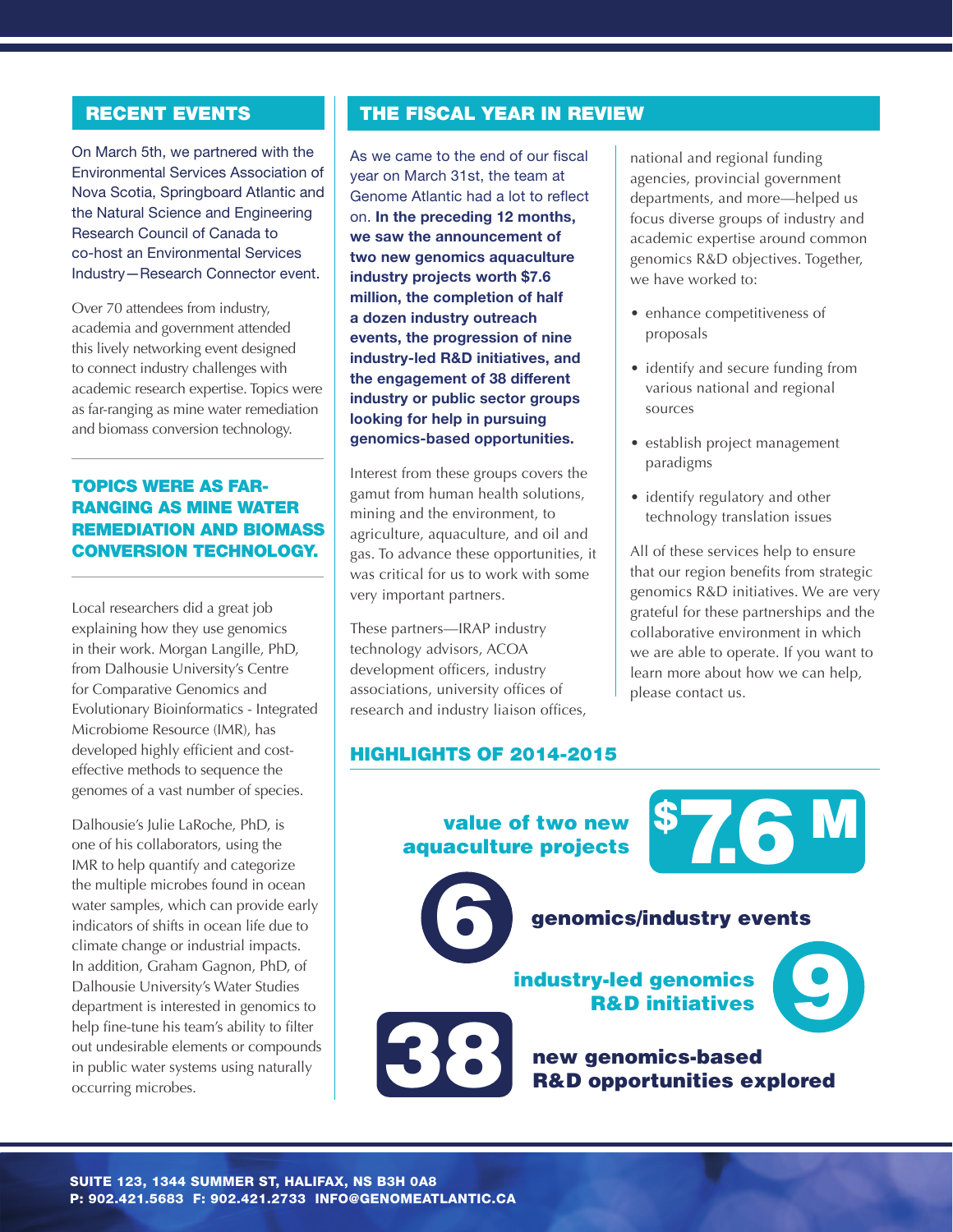## RECENT EVENTS

On March 5th, we partnered with the Environmental Services Association of Nova Scotia, Springboard Atlantic and the Natural Science and Engineering Research Council of Canada to co-host an Environmental Services Industry—Research Connector event.

Over 70 attendees from industry, academia and government attended this lively networking event designed to connect industry challenges with academic research expertise. Topics were as far-ranging as mine water remediation and biomass conversion technology.

### TOPICS WERE AS FAR-RANGING AS MINE WATER REMEDIATION AND BIOMASS CONVERSION TECHNOLOGY.

Local researchers did a great job explaining how they use genomics in their work. Morgan Langille, PhD, from Dalhousie University's Centre for Comparative Genomics and Evolutionary Bioinformatics - Integrated Microbiome Resource (IMR), has developed highly efficient and costeffective methods to sequence the genomes of a vast number of species.

Dalhousie's Julie LaRoche, PhD, is one of his collaborators, using the IMR to help quantify and categorize the multiple microbes found in ocean water samples, which can provide early indicators of shifts in ocean life due to climate change or industrial impacts. In addition, Graham Gagnon, PhD, of Dalhousie University's Water Studies department is interested in genomics to help fine-tune his team's ability to filter out undesirable elements or compounds in public water systems using naturally occurring microbes.

## THE FISCAL YEAR IN REVIEW

As we came to the end of our fiscal year on March 31st, the team at Genome Atlantic had a lot to reflect on. **In the preceding 12 months, we saw the announcement of two new genomics aquaculture industry projects worth \$7.6**  value of two new maked y projects words with the **million**, the completion of half **a dozen industry outreach events, the progression of nine**  genomics/industry events **industry-led R&D initiatives, and the engagement of 38 different**  industry or public sector groups **with**  $\begin{array}{c} \hline \end{array}$ **looking for help in pursuing strategies in the strategies of the strategies of the strategies of the strategie**<br>And in the strategies of the strategies of the strategies of the strategies of the strategies of the strategi **genomics-based opportunities.** We saw the announcement of<br>
turnustry projects worth \$7.6<br>
industry projects worth \$7.6<br>
million, the completion of half<br>
a dozen industry outreach<br>
industry-led R&D initiatives, and<br>
the engagement of 38 different<br>
indust

Interest from these groups covers the gamut from human health solutions, mining and the environment, to agriculture, aquaculture, and oil and gas. To advance these opportunities, it was critical for us to work with some very important partners. genomics-based opportunities.<br>
Interest from these groups covers the<br>
gamut from human health solutions,<br>
mining and the environment, to<br>
agriculture, aquaculture, and oil and

> These partners—IRAP industry technology advisors, ACOA development officers, industry associations, university offices of research and industry liaison offices,

#### HIGHLIGHTS OF 2014-2015

national and regional funding agencies, provincial government departments, and more—helped us focus diverse groups of industry and academic expertise around common genomics R&D objectives. Together, we have worked to:

- enhance competitiveness of proposals
- identify and secure funding from various national and regional sources
- establish project management paradigms
- identify regulatory and other technology translation issues

All of these services help to ensure that our region benefits from strategic genomics R&D initiatives. We are very grateful for these partnerships and the collaborative environment in which we are able to operate. If you want to learn more about how we can help, please contact us.

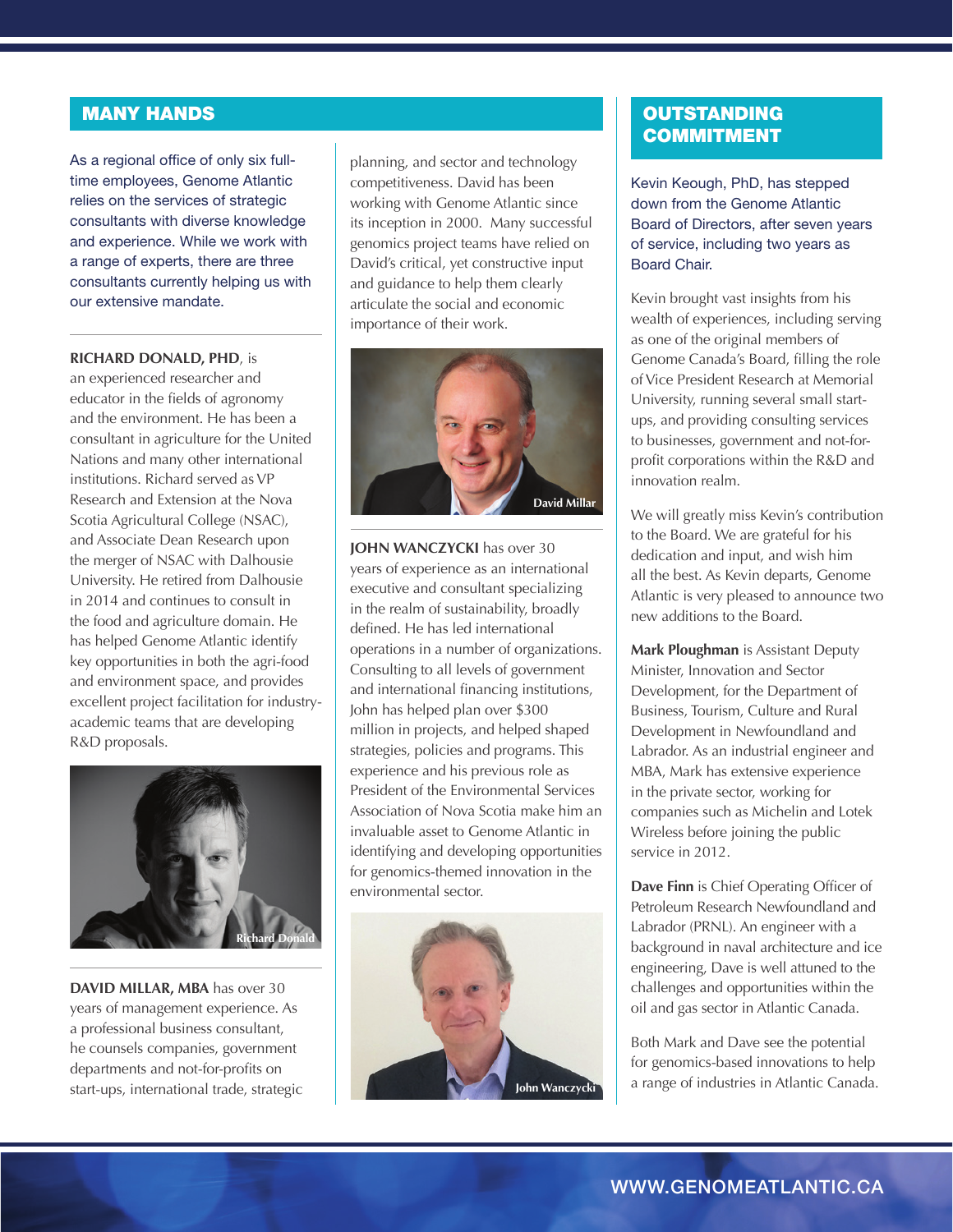## MANY HANDS

As a regional office of only six fulltime employees, Genome Atlantic relies on the services of strategic consultants with diverse knowledge and experience. While we work with a range of experts, there are three consultants currently helping us with our extensive mandate.

#### **RICHARD DONALD, PHD**, is

an experienced researcher and educator in the fields of agronomy and the environment. He has been a consultant in agriculture for the United Nations and many other international institutions. Richard served as VP Research and Extension at the Nova Scotia Agricultural College (NSAC), and Associate Dean Research upon the merger of NSAC with Dalhousie University. He retired from Dalhousie in 2014 and continues to consult in the food and agriculture domain. He has helped Genome Atlantic identify key opportunities in both the agri-food and environment space, and provides excellent project facilitation for industryacademic teams that are developing R&D proposals.



**DAVID MILLAR, MBA** has over 30 years of management experience. As a professional business consultant, he counsels companies, government departments and not-for-profits on start-ups, international trade, strategic

planning, and sector and technology competitiveness. David has been working with Genome Atlantic since its inception in 2000. Many successful genomics project teams have relied on David's critical, yet constructive input and guidance to help them clearly articulate the social and economic importance of their work.



**JOHN WANCZYCKI** has over 30 years of experience as an international executive and consultant specializing in the realm of sustainability, broadly defined. He has led international operations in a number of organizations. Consulting to all levels of government and international financing institutions, John has helped plan over \$300 million in projects, and helped shaped strategies, policies and programs. This experience and his previous role as President of the Environmental Services Association of Nova Scotia make him an invaluable asset to Genome Atlantic in identifying and developing opportunities for genomics-themed innovation in the environmental sector.



## **OUTSTANDING** COMMITMENT

Kevin Keough, PhD, has stepped down from the Genome Atlantic Board of Directors, after seven years of service, including two years as Board Chair.

Kevin brought vast insights from his wealth of experiences, including serving as one of the original members of Genome Canada's Board, filling the role of Vice President Research at Memorial University, running several small startups, and providing consulting services to businesses, government and not-forprofit corporations within the R&D and innovation realm.

We will greatly miss Kevin's contribution to the Board. We are grateful for his dedication and input, and wish him all the best. As Kevin departs, Genome Atlantic is very pleased to announce two new additions to the Board.

**Mark Ploughman** is Assistant Deputy Minister, Innovation and Sector Development, for the Department of Business, Tourism, Culture and Rural Development in Newfoundland and Labrador. As an industrial engineer and MBA, Mark has extensive experience in the private sector, working for companies such as Michelin and Lotek Wireless before joining the public service in 2012.

**Dave Finn** is Chief Operating Officer of Petroleum Research Newfoundland and Labrador (PRNL). An engineer with a background in naval architecture and ice engineering, Dave is well attuned to the challenges and opportunities within the oil and gas sector in Atlantic Canada.

Both Mark and Dave see the potential for genomics-based innovations to help a range of industries in Atlantic Canada.